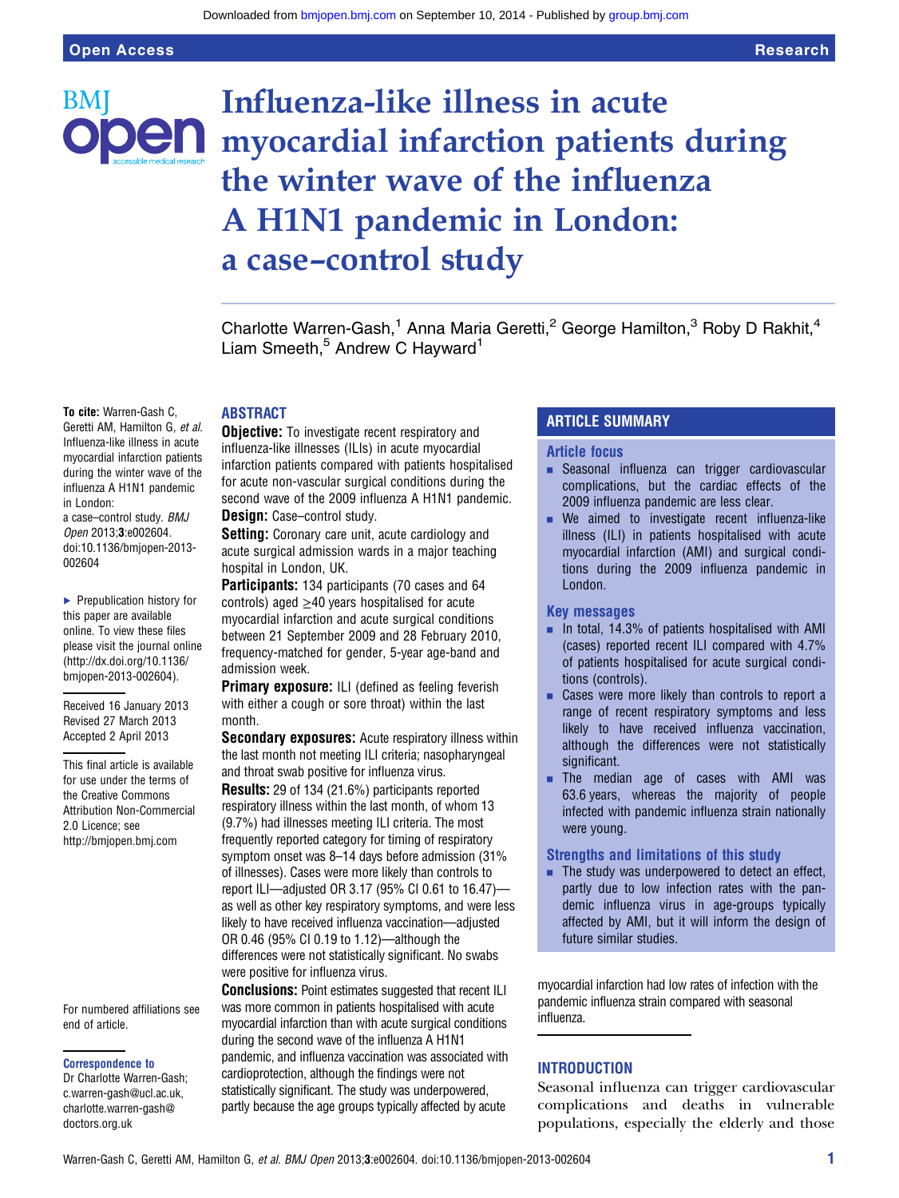BМ

# Influenza-like illness in acute **Den** myocardial infarction patients during the winter wave of the influenza A H1N1 pandemic in London: a case–control study

Charlotte Warren-Gash,<sup>1</sup> Anna Maria Geretti,<sup>2</sup> George Hamilton,<sup>3</sup> Roby D Rakhit,<sup>4</sup> Liam Smeeth,<sup>5</sup> Andrew C Hayward<sup>1</sup>

To cite: Warren-Gash C, Geretti AM, Hamilton G, et al. Influenza-like illness in acute myocardial infarction patients during the winter wave of the influenza A H1N1 pandemic in London:

a case–control study. BMJ Open 2013;3:e002604. doi:10.1136/bmjopen-2013- 002604

▶ Prepublication history for this paper are available online. To view these files please visit the journal online [\(http://dx.doi.org/10.1136/](http://dx.doi.org/10.1136/bmjopen-2013-002604) [bmjopen-2013-002604](http://dx.doi.org/10.1136/bmjopen-2013-002604)).

Received 16 January 2013 Revised 27 March 2013 Accepted 2 April 2013

This final article is available for use under the terms of the Creative Commons Attribution Non-Commercial 2.0 Licence; see <http://bmjopen.bmj.com>

For numbered affiliations see end of article.

#### Correspondence to

Dr Charlotte Warren-Gash; c.warren-gash@ucl.ac.uk, charlotte.warren-gash@ doctors.org.uk

#### ABSTRACT

**Objective:** To investigate recent respiratory and influenza-like illnesses (ILIs) in acute myocardial infarction patients compared with patients hospitalised for acute non-vascular surgical conditions during the second wave of the 2009 influenza A H1N1 pandemic. Design: Case-control study.

Setting: Coronary care unit, acute cardiology and acute surgical admission wards in a major teaching hospital in London, UK.

Participants: 134 participants (70 cases and 64 controls) aged ≥40 years hospitalised for acute myocardial infarction and acute surgical conditions between 21 September 2009 and 28 February 2010, frequency-matched for gender, 5-year age-band and admission week.

Primary exposure: ILI (defined as feeling feverish with either a cough or sore throat) within the last month.

Secondary exposures: Acute respiratory illness within the last month not meeting ILI criteria; nasopharyngeal and throat swab positive for influenza virus.

Results: 29 of 134 (21.6%) participants reported respiratory illness within the last month, of whom 13 (9.7%) had illnesses meeting ILI criteria. The most frequently reported category for timing of respiratory symptom onset was 8–14 days before admission (31% of illnesses). Cases were more likely than controls to report ILI—adjusted OR 3.17 (95% CI 0.61 to 16.47) as well as other key respiratory symptoms, and were less likely to have received influenza vaccination—adjusted OR 0.46 (95% CI 0.19 to 1.12)—although the differences were not statistically significant. No swabs were positive for influenza virus.

Conclusions: Point estimates suggested that recent ILI was more common in patients hospitalised with acute myocardial infarction than with acute surgical conditions during the second wave of the influenza A H1N1 pandemic, and influenza vaccination was associated with cardioprotection, although the findings were not statistically significant. The study was underpowered, partly because the age groups typically affected by acute

### ARTICLE SUMMARY

#### Article focus

- **Execute Seasonal influenza can trigger cardiovascular** complications, but the cardiac effects of the 2009 influenza pandemic are less clear.
- We aimed to investigate recent influenza-like illness (ILI) in patients hospitalised with acute myocardial infarction (AMI) and surgical conditions during the 2009 influenza pandemic in London.

#### Key messages

- $\blacksquare$  In total, 14.3% of patients hospitalised with AMI (cases) reported recent ILI compared with 4.7% of patients hospitalised for acute surgical conditions (controls).
- Cases were more likely than controls to report a range of recent respiratory symptoms and less likely to have received influenza vaccination, although the differences were not statistically significant.
- $\blacksquare$  The median age of cases with AMI was 63.6 years, whereas the majority of people infected with pandemic influenza strain nationally were young.

#### Strengths and limitations of this study

 $\blacksquare$  The study was underpowered to detect an effect, partly due to low infection rates with the pandemic influenza virus in age-groups typically affected by AMI, but it will inform the design of future similar studies.

myocardial infarction had low rates of infection with the pandemic influenza strain compared with seasonal influenza.

#### **INTRODUCTION**

Seasonal influenza can trigger cardiovascular complications and deaths in vulnerable populations, especially the elderly and those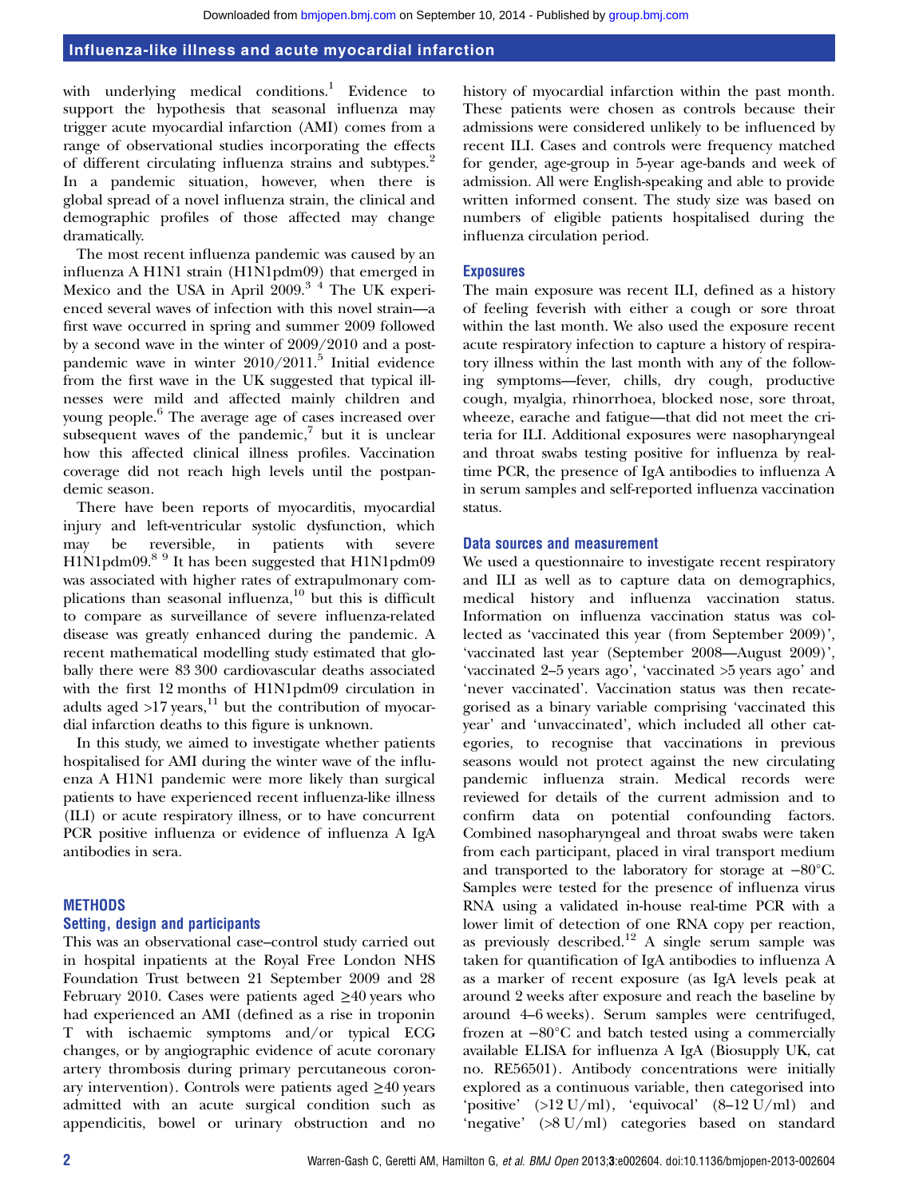with underlying medical conditions.<sup>1</sup> Evidence to support the hypothesis that seasonal influenza may trigger acute myocardial infarction (AMI) comes from a range of observational studies incorporating the effects of different circulating influenza strains and subtypes.<sup>2</sup> In a pandemic situation, however, when there is global spread of a novel influenza strain, the clinical and demographic profiles of those affected may change dramatically.

The most recent influenza pandemic was caused by an influenza A H1N1 strain (H1N1pdm09) that emerged in Mexico and the USA in April 2009.<sup>34</sup> The UK experienced several waves of infection with this novel strain—a first wave occurred in spring and summer 2009 followed by a second wave in the winter of 2009/2010 and a postpandemic wave in winter 2010/2011.<sup>5</sup> Initial evidence from the first wave in the UK suggested that typical illnesses were mild and affected mainly children and young people.<sup>6</sup> The average age of cases increased over subsequent waves of the pandemic, $\bar{y}$  but it is unclear how this affected clinical illness profiles. Vaccination coverage did not reach high levels until the postpandemic season.

There have been reports of myocarditis, myocardial injury and left-ventricular systolic dysfunction, which may be reversible, in patients with severe H1N1pdm09.8 9 It has been suggested that H1N1pdm09 was associated with higher rates of extrapulmonary complications than seasonal influenza, <sup>10</sup> but this is difficult to compare as surveillance of severe influenza-related disease was greatly enhanced during the pandemic. A recent mathematical modelling study estimated that globally there were 83 300 cardiovascular deaths associated with the first 12 months of H1N1pdm09 circulation in adults aged  $>17$  years,<sup>11</sup> but the contribution of myocardial infarction deaths to this figure is unknown.

In this study, we aimed to investigate whether patients hospitalised for AMI during the winter wave of the influenza A H1N1 pandemic were more likely than surgical patients to have experienced recent influenza-like illness (ILI) or acute respiratory illness, or to have concurrent PCR positive influenza or evidence of influenza A IgA antibodies in sera.

#### METHODS

#### Setting, design and participants

This was an observational case–control study carried out in hospital inpatients at the Royal Free London NHS Foundation Trust between 21 September 2009 and 28 February 2010. Cases were patients aged  $\geq 40$  years who had experienced an AMI (defined as a rise in troponin T with ischaemic symptoms and/or typical ECG changes, or by angiographic evidence of acute coronary artery thrombosis during primary percutaneous coronary intervention). Controls were patients aged ≥40 years admitted with an acute surgical condition such as appendicitis, bowel or urinary obstruction and no history of myocardial infarction within the past month. These patients were chosen as controls because their admissions were considered unlikely to be influenced by recent ILI. Cases and controls were frequency matched for gender, age-group in 5-year age-bands and week of admission. All were English-speaking and able to provide written informed consent. The study size was based on numbers of eligible patients hospitalised during the influenza circulation period.

#### Exposures

The main exposure was recent ILI, defined as a history of feeling feverish with either a cough or sore throat within the last month. We also used the exposure recent acute respiratory infection to capture a history of respiratory illness within the last month with any of the following symptoms—fever, chills, dry cough, productive cough, myalgia, rhinorrhoea, blocked nose, sore throat, wheeze, earache and fatigue—that did not meet the criteria for ILI. Additional exposures were nasopharyngeal and throat swabs testing positive for influenza by realtime PCR, the presence of IgA antibodies to influenza A in serum samples and self-reported influenza vaccination status.

#### Data sources and measurement

We used a questionnaire to investigate recent respiratory and ILI as well as to capture data on demographics, medical history and influenza vaccination status. Information on influenza vaccination status was collected as 'vaccinated this year (from September 2009)', 'vaccinated last year (September 2008—August 2009)', 'vaccinated 2–5 years ago', 'vaccinated >5 years ago' and 'never vaccinated'. Vaccination status was then recategorised as a binary variable comprising 'vaccinated this year' and 'unvaccinated', which included all other categories, to recognise that vaccinations in previous seasons would not protect against the new circulating pandemic influenza strain. Medical records were reviewed for details of the current admission and to confirm data on potential confounding factors. Combined nasopharyngeal and throat swabs were taken from each participant, placed in viral transport medium and transported to the laboratory for storage at −80°C. Samples were tested for the presence of influenza virus RNA using a validated in-house real-time PCR with a lower limit of detection of one RNA copy per reaction, as previously described.<sup>12</sup> A single serum sample was taken for quantification of IgA antibodies to influenza A as a marker of recent exposure (as IgA levels peak at around 2 weeks after exposure and reach the baseline by around 4–6 weeks). Serum samples were centrifuged, frozen at −80°C and batch tested using a commercially available ELISA for influenza A IgA (Biosupply UK, cat no. RE56501). Antibody concentrations were initially explored as a continuous variable, then categorised into 'positive'  $(>12 \text{ U/ml})$ , 'equivocal'  $(8-12 \text{ U/ml})$  and 'negative' (>8 U/ml) categories based on standard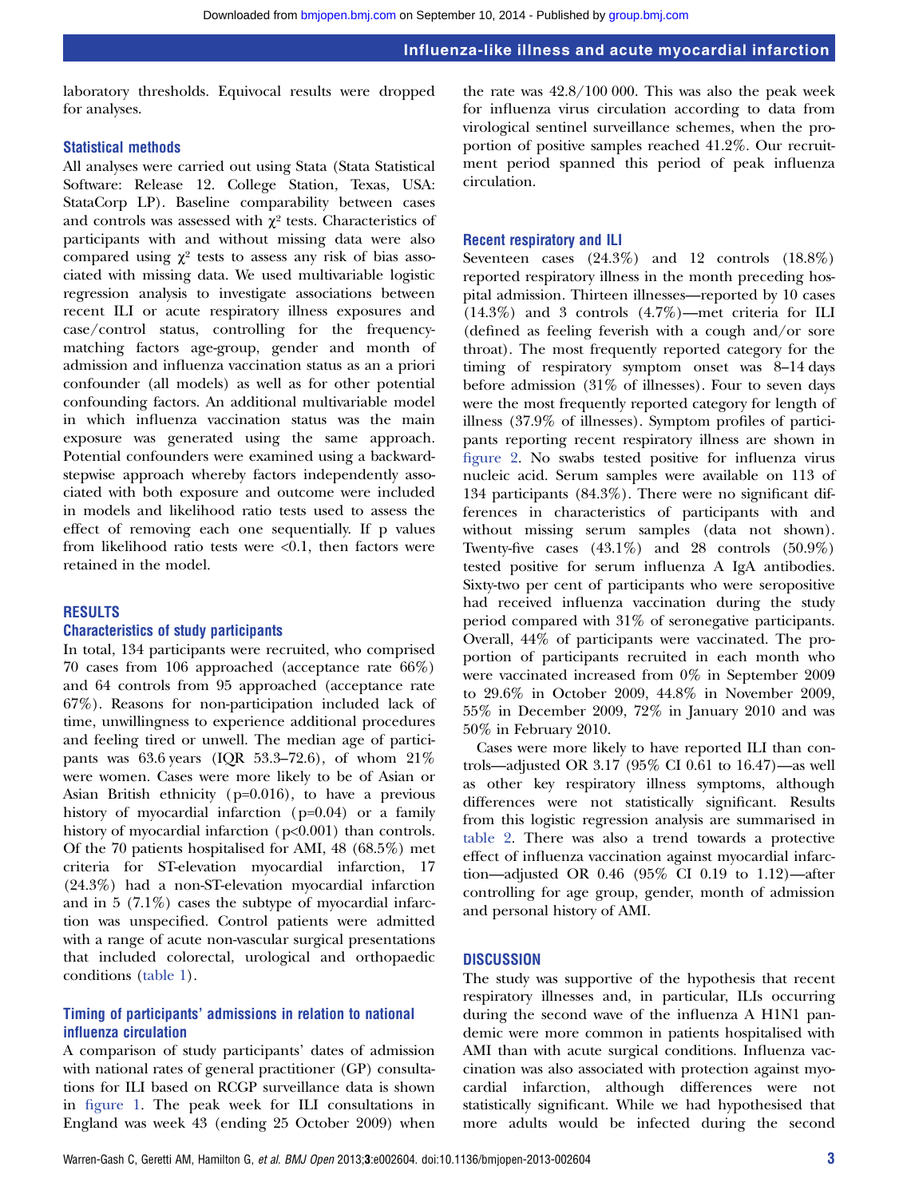laboratory thresholds. Equivocal results were dropped for analyses.

#### Statistical methods

All analyses were carried out using Stata (Stata Statistical Software: Release 12. College Station, Texas, USA: StataCorp LP). Baseline comparability between cases and controls was assessed with  $\chi^2$  tests. Characteristics of participants with and without missing data were also compared using  $\chi^2$  tests to assess any risk of bias associated with missing data. We used multivariable logistic regression analysis to investigate associations between recent ILI or acute respiratory illness exposures and case/control status, controlling for the frequencymatching factors age-group, gender and month of admission and influenza vaccination status as an a priori confounder (all models) as well as for other potential confounding factors. An additional multivariable model in which influenza vaccination status was the main exposure was generated using the same approach. Potential confounders were examined using a backwardstepwise approach whereby factors independently associated with both exposure and outcome were included in models and likelihood ratio tests used to assess the effect of removing each one sequentially. If p values from likelihood ratio tests were  $< 0.1$ , then factors were retained in the model.

#### RESULTS

#### Characteristics of study participants

In total, 134 participants were recruited, who comprised 70 cases from 106 approached (acceptance rate 66%) and 64 controls from 95 approached (acceptance rate 67%). Reasons for non-participation included lack of time, unwillingness to experience additional procedures and feeling tired or unwell. The median age of participants was 63.6 years (IQR 53.3–72.6), of whom 21% were women. Cases were more likely to be of Asian or Asian British ethnicity (p=0.016), to have a previous history of myocardial infarction (p=0.04) or a family history of myocardial infarction (p<0.001) than controls. Of the 70 patients hospitalised for AMI, 48 (68.5%) met criteria for ST-elevation myocardial infarction, 17 (24.3%) had a non-ST-elevation myocardial infarction and in 5 (7.1%) cases the subtype of myocardial infarction was unspecified. Control patients were admitted with a range of acute non-vascular surgical presentations that included colorectal, urological and orthopaedic conditions (table 1).

#### Timing of participants' admissions in relation to national influenza circulation

A comparison of study participants' dates of admission with national rates of general practitioner (GP) consultations for ILI based on RCGP surveillance data is shown in figure 1. The peak week for ILI consultations in England was week 43 (ending 25 October 2009) when

the rate was 42.8/100 000. This was also the peak week for influenza virus circulation according to data from virological sentinel surveillance schemes, when the proportion of positive samples reached 41.2%. Our recruitment period spanned this period of peak influenza circulation.

#### Recent respiratory and ILI

Seventeen cases (24.3%) and 12 controls (18.8%) reported respiratory illness in the month preceding hospital admission. Thirteen illnesses—reported by 10 cases (14.3%) and 3 controls (4.7%)—met criteria for ILI (defined as feeling feverish with a cough and/or sore throat). The most frequently reported category for the timing of respiratory symptom onset was 8–14 days before admission (31% of illnesses). Four to seven days were the most frequently reported category for length of illness (37.9% of illnesses). Symptom profiles of participants reporting recent respiratory illness are shown in figure 2. No swabs tested positive for influenza virus nucleic acid. Serum samples were available on 113 of 134 participants (84.3%). There were no significant differences in characteristics of participants with and without missing serum samples (data not shown). Twenty-five cases  $(43.1\%)$  and 28 controls  $(50.9\%)$ tested positive for serum influenza A IgA antibodies. Sixty-two per cent of participants who were seropositive had received influenza vaccination during the study period compared with 31% of seronegative participants. Overall, 44% of participants were vaccinated. The proportion of participants recruited in each month who were vaccinated increased from 0% in September 2009 to 29.6% in October 2009, 44.8% in November 2009, 55% in December 2009, 72% in January 2010 and was 50% in February 2010.

Cases were more likely to have reported ILI than controls—adjusted OR 3.17 (95% CI 0.61 to 16.47)—as well as other key respiratory illness symptoms, although differences were not statistically significant. Results from this logistic regression analysis are summarised in table 2. There was also a trend towards a protective effect of influenza vaccination against myocardial infarction—adjusted OR 0.46 (95% CI 0.19 to 1.12)—after controlling for age group, gender, month of admission and personal history of AMI.

#### **DISCUSSION**

The study was supportive of the hypothesis that recent respiratory illnesses and, in particular, ILIs occurring during the second wave of the influenza A H1N1 pandemic were more common in patients hospitalised with AMI than with acute surgical conditions. Influenza vaccination was also associated with protection against myocardial infarction, although differences were not statistically significant. While we had hypothesised that more adults would be infected during the second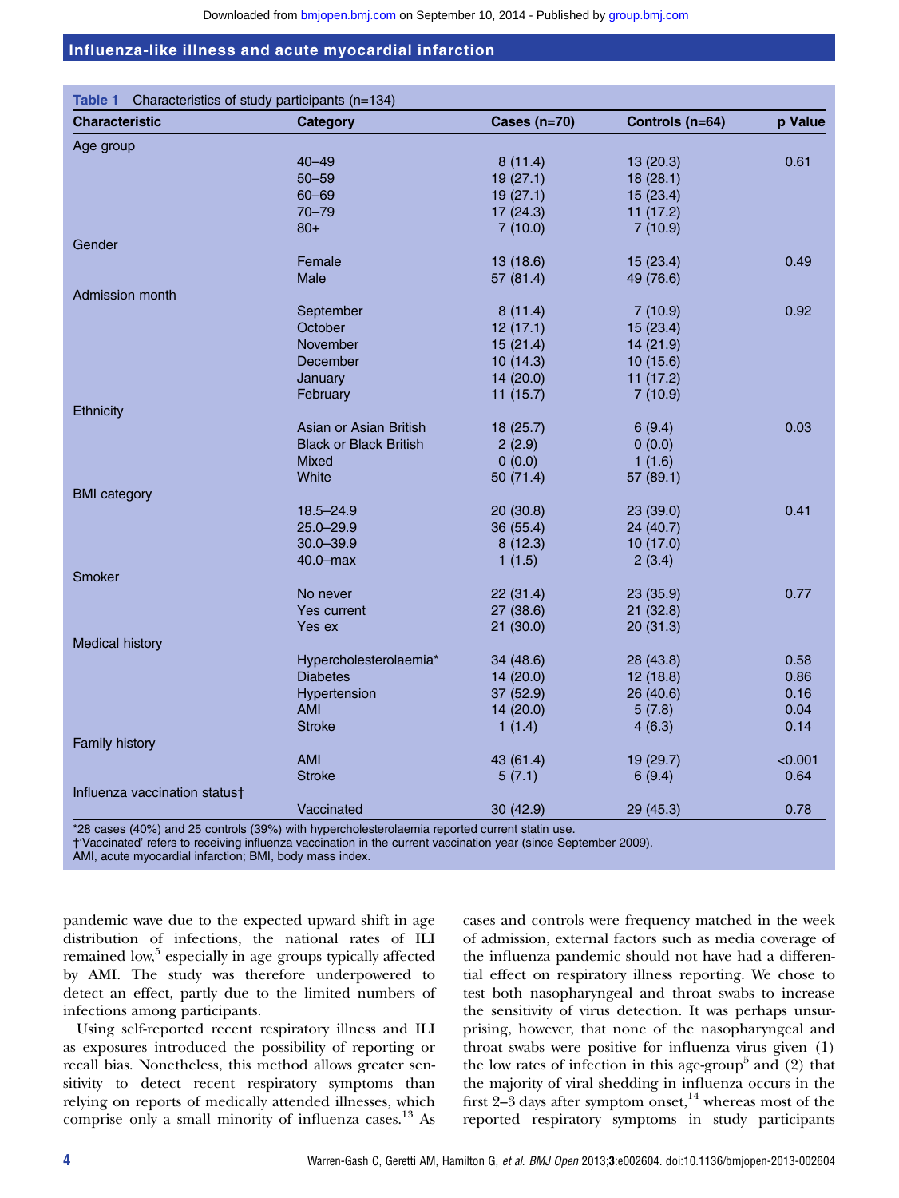| <b>Characteristic</b>         | Category                      | Cases (n=70) | Controls (n=64) | p Value |
|-------------------------------|-------------------------------|--------------|-----------------|---------|
|                               |                               |              |                 |         |
| Age group                     |                               |              |                 |         |
|                               | $40 - 49$                     | 8(11.4)      | 13 (20.3)       | 0.61    |
|                               | $50 - 59$                     | 19(27.1)     | 18(28.1)        |         |
|                               | $60 - 69$                     | 19(27.1)     | 15(23.4)        |         |
|                               | $70 - 79$                     | 17(24.3)     | 11(17.2)        |         |
|                               | $80+$                         | 7(10.0)      | 7(10.9)         |         |
| Gender                        |                               |              |                 |         |
|                               | Female                        | 13(18.6)     | 15(23.4)        | 0.49    |
|                               | Male                          | 57 (81.4)    | 49 (76.6)       |         |
| Admission month               |                               |              |                 |         |
|                               | September                     | 8(11.4)      | 7(10.9)         | 0.92    |
|                               | October                       | 12(17.1)     | 15(23.4)        |         |
|                               | November                      | 15(21.4)     | 14 (21.9)       |         |
|                               | December                      | 10(14.3)     | 10(15.6)        |         |
|                               | January                       | 14(20.0)     | 11(17.2)        |         |
|                               | February                      | 11(15.7)     | 7(10.9)         |         |
| Ethnicity                     |                               |              |                 |         |
|                               | Asian or Asian British        | 18(25.7)     | 6(9.4)          | 0.03    |
|                               | <b>Black or Black British</b> | 2(2.9)       | 0(0.0)          |         |
|                               | <b>Mixed</b>                  | 0(0.0)       | 1(1.6)          |         |
|                               | White                         | 50(71.4)     | 57 (89.1)       |         |
| <b>BMI</b> category           |                               |              |                 |         |
|                               | $18.5 - 24.9$                 | 20(30.8)     | 23 (39.0)       | 0.41    |
|                               | $25.0 - 29.9$                 | 36(55.4)     | 24 (40.7)       |         |
|                               | $30.0 - 39.9$                 | 8(12.3)      | 10(17.0)        |         |
|                               | 40.0-max                      | 1(1.5)       | 2(3.4)          |         |
| <b>Smoker</b>                 |                               |              |                 |         |
|                               | No never                      | 22(31.4)     | 23 (35.9)       | 0.77    |
|                               | Yes current                   | 27(38.6)     | 21(32.8)        |         |
|                               | Yes ex                        | 21(30.0)     | 20(31.3)        |         |
| <b>Medical history</b>        |                               |              |                 |         |
|                               | Hypercholesterolaemia*        | 34 (48.6)    | 28 (43.8)       | 0.58    |
|                               | <b>Diabetes</b>               | 14(20.0)     | 12(18.8)        | 0.86    |
|                               | Hypertension                  | 37 (52.9)    | 26 (40.6)       | 0.16    |
|                               | <b>AMI</b>                    |              |                 | 0.04    |
|                               | <b>Stroke</b>                 | 14(20.0)     | 5(7.8)          | 0.14    |
|                               |                               | 1(1.4)       | 4(6.3)          |         |
| Family history                |                               |              |                 |         |
|                               | AMI                           | 43 (61.4)    | 19(29.7)        | < 0.001 |
|                               | <b>Stroke</b>                 | 5(7.1)       | 6(9.4)          | 0.64    |
| Influenza vaccination status† |                               |              |                 |         |
|                               | Vaccinated                    | 30(42.9)     | 29 (45.3)       | 0.78    |

\*28 cases (40%) and 25 controls (39%) with hypercholesterolaemia reported current statin use.

†'Vaccinated' refers to receiving influenza vaccination in the current vaccination year (since September 2009).

AMI, acute myocardial infarction; BMI, body mass index.

pandemic wave due to the expected upward shift in age distribution of infections, the national rates of ILI remained low,<sup>5</sup> especially in age groups typically affected by AMI. The study was therefore underpowered to detect an effect, partly due to the limited numbers of infections among participants.

Using self-reported recent respiratory illness and ILI as exposures introduced the possibility of reporting or recall bias. Nonetheless, this method allows greater sensitivity to detect recent respiratory symptoms than relying on reports of medically attended illnesses, which comprise only a small minority of influenza cases.<sup>13</sup> As

cases and controls were frequency matched in the week of admission, external factors such as media coverage of the influenza pandemic should not have had a differential effect on respiratory illness reporting. We chose to test both nasopharyngeal and throat swabs to increase the sensitivity of virus detection. It was perhaps unsurprising, however, that none of the nasopharyngeal and throat swabs were positive for influenza virus given (1) the low rates of infection in this age-group<sup>5</sup> and  $(2)$  that the majority of viral shedding in influenza occurs in the first  $2-3$  days after symptom onset,  $14$  whereas most of the reported respiratory symptoms in study participants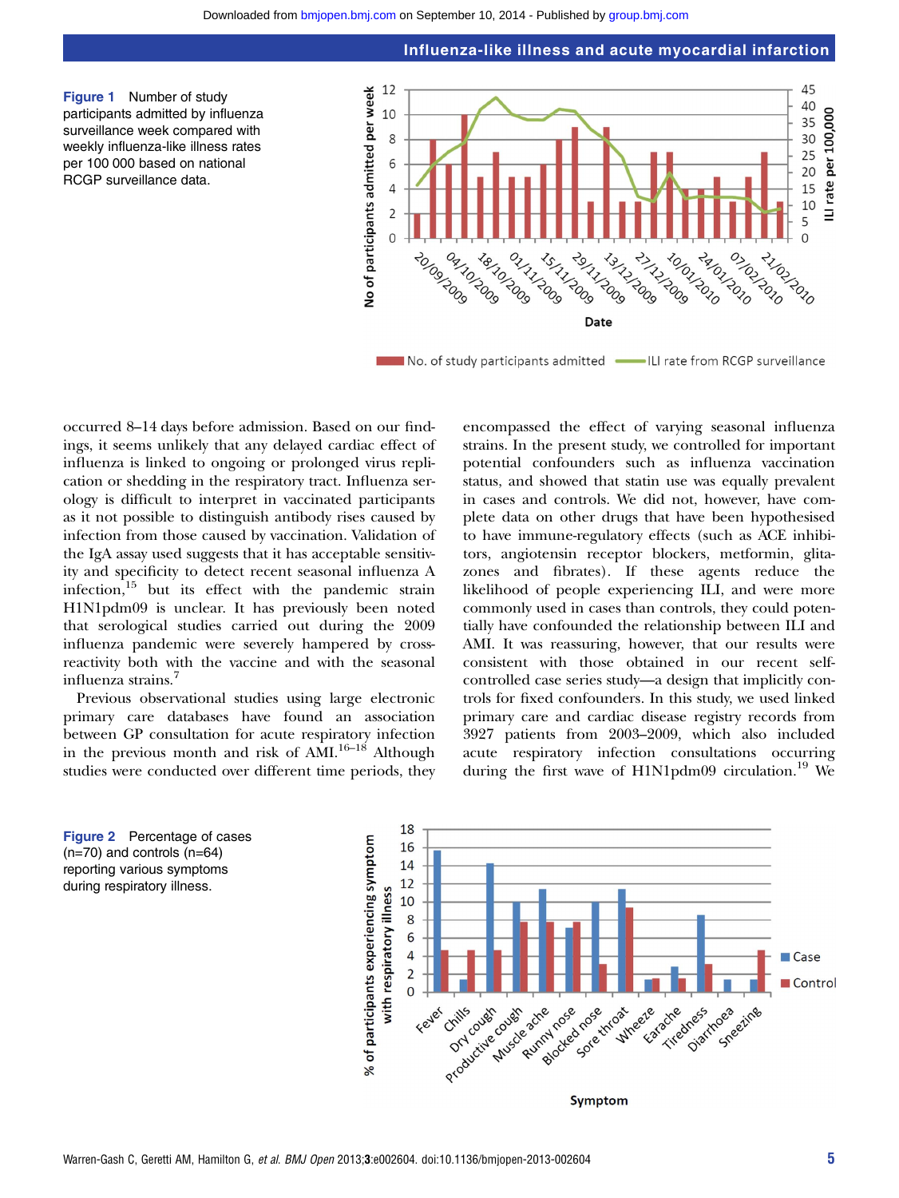Influenza-like illness and acute myocardial infarction

Figure 1 Number of study participants admitted by influenza surveillance week compared with weekly influenza-like illness rates per 100 000 based on national RCGP surveillance data.



No. of study participants admitted | ILI rate from RCGP surveillance

occurred 8–14 days before admission. Based on our findings, it seems unlikely that any delayed cardiac effect of influenza is linked to ongoing or prolonged virus replication or shedding in the respiratory tract. Influenza serology is difficult to interpret in vaccinated participants as it not possible to distinguish antibody rises caused by infection from those caused by vaccination. Validation of the IgA assay used suggests that it has acceptable sensitivity and specificity to detect recent seasonal influenza A infection, $15$  but its effect with the pandemic strain H1N1pdm09 is unclear. It has previously been noted that serological studies carried out during the 2009 influenza pandemic were severely hampered by crossreactivity both with the vaccine and with the seasonal influenza strains.<sup>7</sup>

Previous observational studies using large electronic primary care databases have found an association between GP consultation for acute respiratory infection in the previous month and risk of  $\text{AMI}^{16-18}$  Although studies were conducted over different time periods, they

encompassed the effect of varying seasonal influenza strains. In the present study, we controlled for important potential confounders such as influenza vaccination status, and showed that statin use was equally prevalent in cases and controls. We did not, however, have complete data on other drugs that have been hypothesised to have immune-regulatory effects (such as ACE inhibitors, angiotensin receptor blockers, metformin, glitazones and fibrates). If these agents reduce the likelihood of people experiencing ILI, and were more commonly used in cases than controls, they could potentially have confounded the relationship between ILI and AMI. It was reassuring, however, that our results were consistent with those obtained in our recent selfcontrolled case series study—a design that implicitly controls for fixed confounders. In this study, we used linked primary care and cardiac disease registry records from 3927 patients from 2003–2009, which also included acute respiratory infection consultations occurring during the first wave of H1N1pdm09 circulation.<sup>19</sup> We



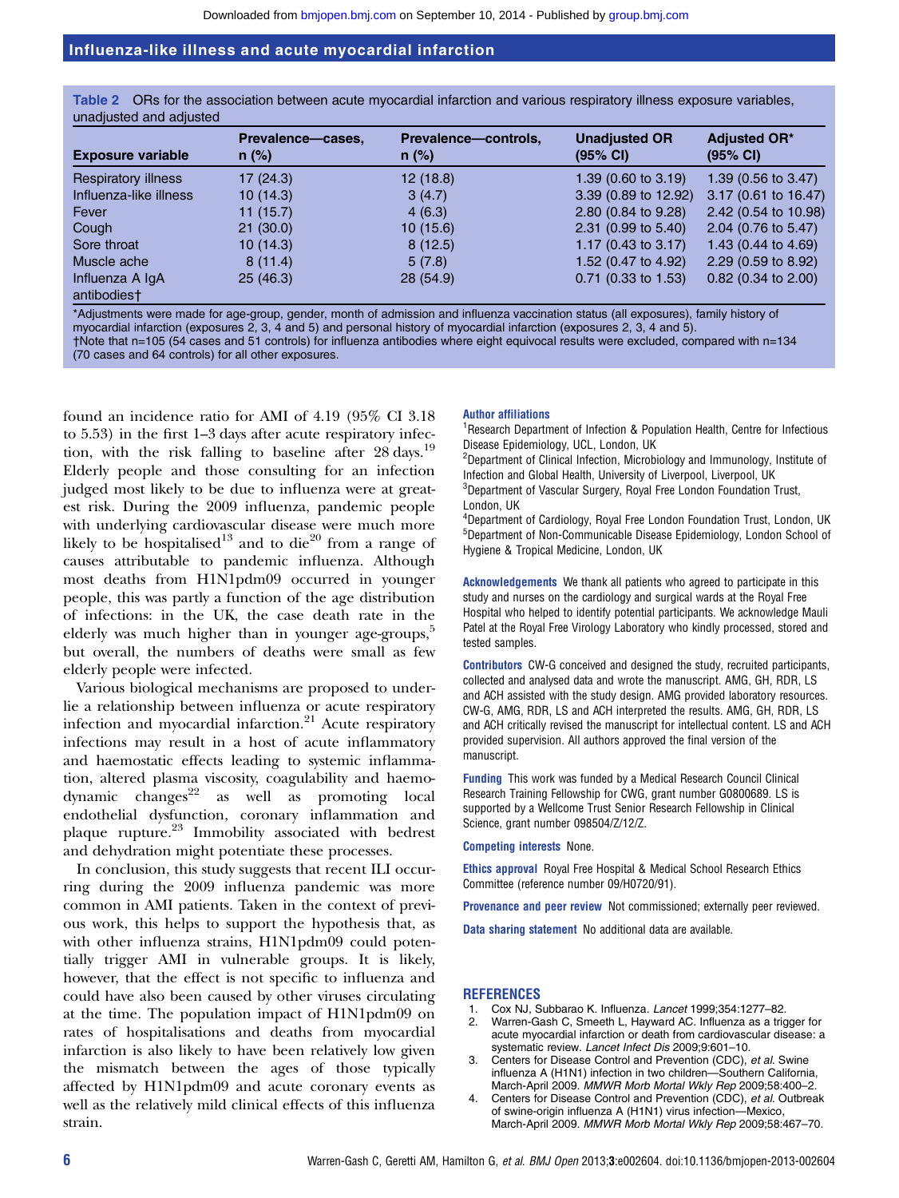Table 2 ORs for the association between acute myocardial infarction and various respiratory illness exposure variables, unadjusted and adjusted

| <b>Exposure variable</b>       | Prevalence-cases,<br>$n$ (%) | Prevalence-controls,<br>$n$ (%) | <b>Unadjusted OR</b><br>(95% CI) | <b>Adjusted OR*</b><br>(95% CI) |
|--------------------------------|------------------------------|---------------------------------|----------------------------------|---------------------------------|
| <b>Respiratory illness</b>     | 17(24.3)                     | 12(18.8)                        | 1.39 (0.60 to 3.19)              | 1.39 (0.56 to 3.47)             |
| Influenza-like illness         | 10(14.3)                     | 3(4.7)                          | 3.39 (0.89 to 12.92)             | 3.17 (0.61 to 16.47)            |
| Fever                          | 11(15.7)                     | 4(6.3)                          | 2.80 (0.84 to 9.28)              | 2.42 (0.54 to 10.98)            |
| Cough                          | 21(30.0)                     | 10(15.6)                        | 2.31 (0.99 to 5.40)              | 2.04 (0.76 to 5.47)             |
| Sore throat                    | 10(14.3)                     | 8(12.5)                         | 1.17 $(0.43 \text{ to } 3.17)$   | 1.43 (0.44 to 4.69)             |
| Muscle ache                    | 8(11.4)                      | 5(7.8)                          | 1.52 (0.47 to 4.92)              | 2.29 (0.59 to 8.92)             |
| Influenza A IgA<br>antihodiae+ | 25(46.3)                     | 28(54.9)                        | $0.71$ (0.33 to 1.53)            | $0.82$ (0.34 to 2.00)           |

antibodies†

\*Adjustments were made for age-group, gender, month of admission and influenza vaccination status (all exposures), family history of myocardial infarction (exposures 2, 3, 4 and 5) and personal history of myocardial infarction (exposures 2, 3, 4 and 5). †Note that n=105 (54 cases and 51 controls) for influenza antibodies where eight equivocal results were excluded, compared with n=134 (70 cases and 64 controls) for all other exposures.

found an incidence ratio for AMI of 4.19 (95% CI 3.18 to 5.53) in the first 1–3 days after acute respiratory infection, with the risk falling to baseline after 28 days.<sup>19</sup> Elderly people and those consulting for an infection judged most likely to be due to influenza were at greatest risk. During the 2009 influenza, pandemic people with underlying cardiovascular disease were much more likely to be hospitalised<sup>13</sup> and to die<sup>20</sup> from a range of causes attributable to pandemic influenza. Although most deaths from H1N1pdm09 occurred in younger people, this was partly a function of the age distribution of infections: in the UK, the case death rate in the elderly was much higher than in younger age-groups, $5$ but overall, the numbers of deaths were small as few elderly people were infected.

Various biological mechanisms are proposed to underlie a relationship between influenza or acute respiratory infection and myocardial infarction.<sup>21</sup> Acute respiratory infections may result in a host of acute inflammatory and haemostatic effects leading to systemic inflammation, altered plasma viscosity, coagulability and haemo $d$ ynamic changes<sup>22</sup> as well as promoting local endothelial dysfunction, coronary inflammation and plaque rupture.<sup>23</sup> Immobility associated with bedrest and dehydration might potentiate these processes.

In conclusion, this study suggests that recent ILI occurring during the 2009 influenza pandemic was more common in AMI patients. Taken in the context of previous work, this helps to support the hypothesis that, as with other influenza strains, H1N1pdm09 could potentially trigger AMI in vulnerable groups. It is likely, however, that the effect is not specific to influenza and could have also been caused by other viruses circulating at the time. The population impact of H1N1pdm09 on rates of hospitalisations and deaths from myocardial infarction is also likely to have been relatively low given the mismatch between the ages of those typically affected by H1N1pdm09 and acute coronary events as well as the relatively mild clinical effects of this influenza strain.

#### Author affiliations

<sup>1</sup> Research Department of Infection & Population Health, Centre for Infectious Disease Epidemiology, UCL, London, UK

<sup>2</sup>Department of Clinical Infection, Microbiology and Immunology, Institute of Infection and Global Health, University of Liverpool, Liverpool, UK

<sup>3</sup>Department of Vascular Surgery, Royal Free London Foundation Trust, London, UK

4 Department of Cardiology, Royal Free London Foundation Trust, London, UK 5 Department of Non-Communicable Disease Epidemiology, London School of Hygiene & Tropical Medicine, London, UK

Acknowledgements We thank all patients who agreed to participate in this study and nurses on the cardiology and surgical wards at the Royal Free Hospital who helped to identify potential participants. We acknowledge Mauli Patel at the Royal Free Virology Laboratory who kindly processed, stored and tested samples.

Contributors CW-G conceived and designed the study, recruited participants, collected and analysed data and wrote the manuscript. AMG, GH, RDR, LS and ACH assisted with the study design. AMG provided laboratory resources. CW-G, AMG, RDR, LS and ACH interpreted the results. AMG, GH, RDR, LS and ACH critically revised the manuscript for intellectual content. LS and ACH provided supervision. All authors approved the final version of the manuscript.

Funding This work was funded by a Medical Research Council Clinical Research Training Fellowship for CWG, grant number G0800689. LS is supported by a Wellcome Trust Senior Research Fellowship in Clinical Science, grant number 098504/Z/12/Z.

#### Competing interests None.

Ethics approval Royal Free Hospital & Medical School Research Ethics Committee (reference number 09/H0720/91).

Provenance and peer review Not commissioned; externally peer reviewed.

Data sharing statement No additional data are available.

#### **REFERENCES**

- 1. Cox NJ, Subbarao K. Influenza. Lancet 1999;354:1277–82.
- 2. Warren-Gash C, Smeeth L, Hayward AC. Influenza as a trigger for acute myocardial infarction or death from cardiovascular disease: a systematic review. Lancet Infect Dis 2009;9:601–10.
- 3. Centers for Disease Control and Prevention (CDC), et al. Swine influenza A (H1N1) infection in two children—Southern California, March-April 2009. MMWR Morb Mortal Wkly Rep 2009;58:400–2.
- 4. Centers for Disease Control and Prevention (CDC), et al. Outbreak of swine-origin influenza A (H1N1) virus infection—Mexico, March-April 2009. MMWR Morb Mortal Wkly Rep 2009;58:467–70.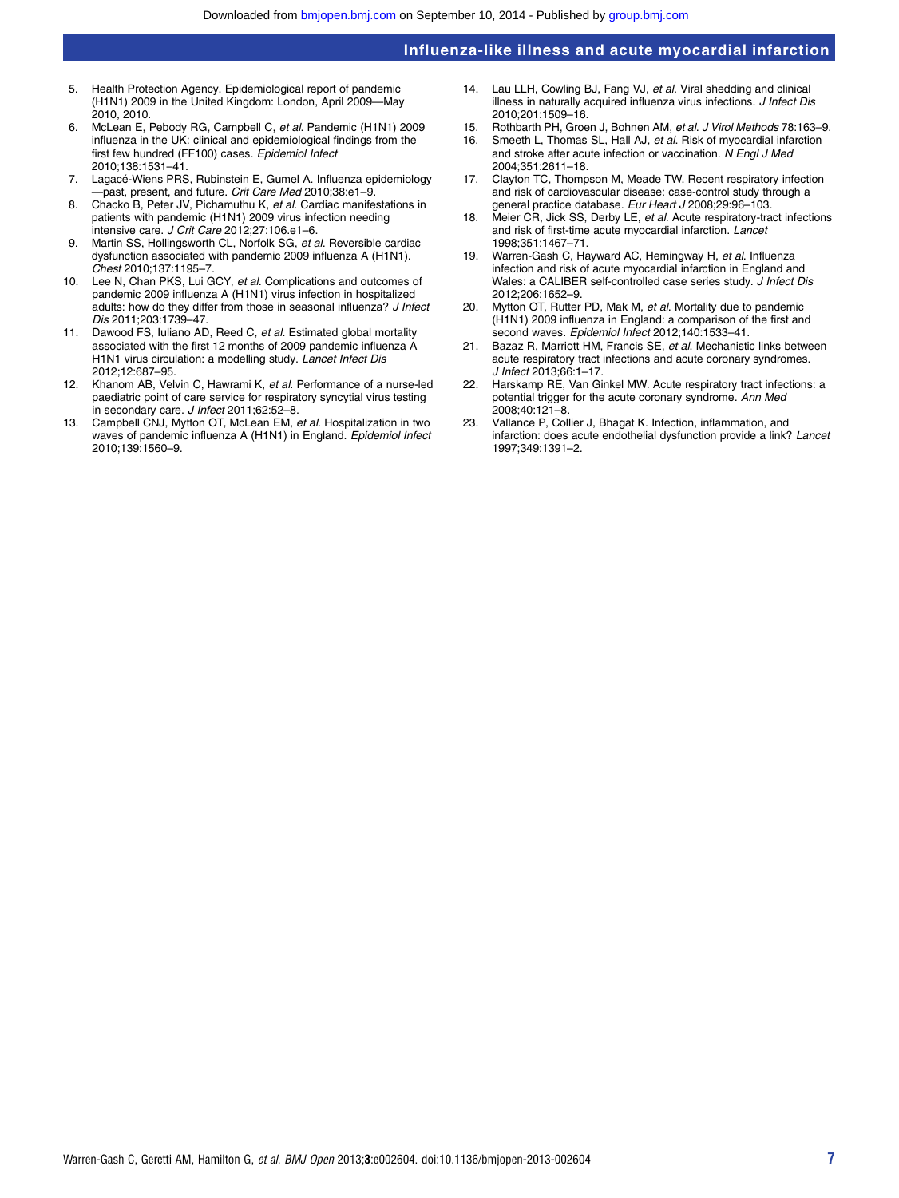- 5. Health Protection Agency. Epidemiological report of pandemic (H1N1) 2009 in the United Kingdom: London, April 2009—May 2010, 2010.
- 6. McLean E, Pebody RG, Campbell C, et al. Pandemic (H1N1) 2009 influenza in the UK: clinical and epidemiological findings from the first few hundred (FF100) cases. Epidemiol Infect 2010;138:1531–41.
- 7. Lagacé-Wiens PRS, Rubinstein E, Gumel A. Influenza epidemiology past, present, and future. Crit Care Med 2010;38:e1-9.
- 8. Chacko B, Peter JV, Pichamuthu K, et al. Cardiac manifestations in patients with pandemic (H1N1) 2009 virus infection needing intensive care. J Crit Care 2012;27:106.e1–6.
- 9. Martin SS, Hollingsworth CL, Norfolk SG, et al. Reversible cardiac dysfunction associated with pandemic 2009 influenza A (H1N1). Chest 2010;137:1195–7.
- 10. Lee N, Chan PKS, Lui GCY, et al. Complications and outcomes of pandemic 2009 influenza A (H1N1) virus infection in hospitalized adults: how do they differ from those in seasonal influenza? J Infect Dis 2011;203:1739–47.
- 11. Dawood FS, Iuliano AD, Reed C, et al. Estimated global mortality associated with the first 12 months of 2009 pandemic influenza A H1N1 virus circulation: a modelling study. Lancet Infect Dis 2012;12:687–95.
- 12. Khanom AB, Velvin C, Hawrami K, et al. Performance of a nurse-led paediatric point of care service for respiratory syncytial virus testing in secondary care. J Infect 2011;62:52–8.
- Campbell CNJ, Mytton OT, McLean EM, et al. Hospitalization in two waves of pandemic influenza A (H1N1) in England. Epidemiol Infect 2010;139:1560–9.
- 14. Lau LLH, Cowling BJ, Fang VJ, et al. Viral shedding and clinical illness in naturally acquired influenza virus infections. J Infect Dis 2010;201:1509–16.
- 15. Rothbarth PH, Groen J, Bohnen AM, et al. J Virol Methods 78:163-9.<br>16. Smeeth L. Thomas SL, Hall A.L. et al. Bisk of myocardial infarction
- Smeeth L, Thomas SL, Hall AJ, et al. Risk of myocardial infarction and stroke after acute infection or vaccination. N Engl J Med 2004;351:2611–18.
- 17. Clayton TC, Thompson M, Meade TW. Recent respiratory infection and risk of cardiovascular disease: case-control study through a general practice database. Eur Heart J 2008;29:96-103.
- 18. Meier CR, Jick SS, Derby LE, et al. Acute respiratory-tract infections and risk of first-time acute myocardial infarction. Lancet 1998;351:1467–71.
- 19. Warren-Gash C, Hayward AC, Hemingway H, et al. Influenza infection and risk of acute myocardial infarction in England and Wales: a CALIBER self-controlled case series study. J Infect Dis 2012;206:1652–9.
- 20. Mytton OT, Rutter PD, Mak M, et al. Mortality due to pandemic (H1N1) 2009 influenza in England: a comparison of the first and second waves. Epidemiol Infect 2012;140:1533–41.
- 21. Bazaz R, Marriott HM, Francis SE, et al. Mechanistic links between acute respiratory tract infections and acute coronary syndromes. J Infect 2013;66:1–17.
- 22. Harskamp RE, Van Ginkel MW. Acute respiratory tract infections: a potential trigger for the acute coronary syndrome. Ann Med 2008;40:121–8.
- Vallance P, Collier J, Bhagat K. Infection, inflammation, and infarction: does acute endothelial dysfunction provide a link? Lancet 1997;349:1391–2.